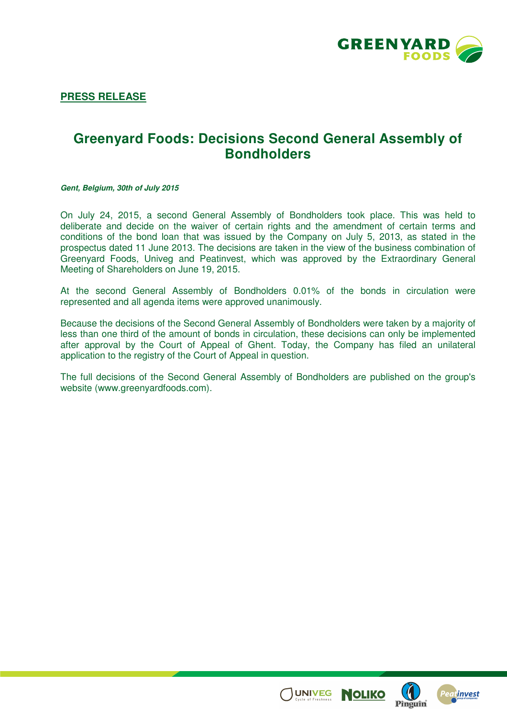

**PRESS RELEASE**

## **Greenyard Foods: Decisions Second General Assembly of Bondholders**

**Gent, Belgium, 30th of July 2015** 

On July 24, 2015, a second General Assembly of Bondholders took place. This was held to deliberate and decide on the waiver of certain rights and the amendment of certain terms and conditions of the bond loan that was issued by the Company on July 5, 2013, as stated in the prospectus dated 11 June 2013. The decisions are taken in the view of the business combination of Greenyard Foods, Univeg and Peatinvest, which was approved by the Extraordinary General Meeting of Shareholders on June 19, 2015.

At the second General Assembly of Bondholders 0.01% of the bonds in circulation were represented and all agenda items were approved unanimously.

Because the decisions of the Second General Assembly of Bondholders were taken by a majority of less than one third of the amount of bonds in circulation, these decisions can only be implemented after approval by the Court of Appeal of Ghent. Today, the Company has filed an unilateral application to the registry of the Court of Appeal in question.

The full decisions of the Second General Assembly of Bondholders are published on the group's website (www.greenyardfoods.com).